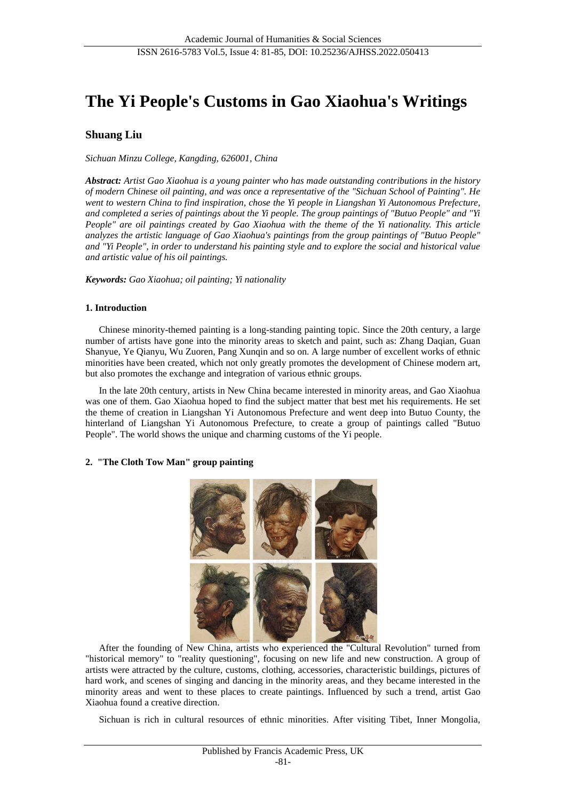# **The Yi People's Customs in Gao Xiaohua's Writings**

## **Shuang Liu**

*Sichuan Minzu College, Kangding, 626001, China*

*Abstract: Artist Gao Xiaohua is a young painter who has made outstanding contributions in the history of modern Chinese oil painting, and was once a representative of the "Sichuan School of Painting". He went to western China to find inspiration, chose the Yi people in Liangshan Yi Autonomous Prefecture, and completed a series of paintings about the Yi people. The group paintings of "Butuo People" and "Yi People" are oil paintings created by Gao Xiaohua with the theme of the Yi nationality. This article analyzes the artistic language of Gao Xiaohua's paintings from the group paintings of "Butuo People" and "Yi People", in order to understand his painting style and to explore the social and historical value and artistic value of his oil paintings.*

*Keywords: Gao Xiaohua; oil painting; Yi nationality*

#### **1. Introduction**

Chinese minority-themed painting is a long-standing painting topic. Since the 20th century, a large number of artists have gone into the minority areas to sketch and paint, such as: Zhang Daqian, Guan Shanyue, Ye Qianyu, Wu Zuoren, Pang Xunqin and so on. A large number of excellent works of ethnic minorities have been created, which not only greatly promotes the development of Chinese modern art, but also promotes the exchange and integration of various ethnic groups.

In the late 20th century, artists in New China became interested in minority areas, and Gao Xiaohua was one of them. Gao Xiaohua hoped to find the subject matter that best met his requirements. He set the theme of creation in Liangshan Yi Autonomous Prefecture and went deep into Butuo County, the hinterland of Liangshan Yi Autonomous Prefecture, to create a group of paintings called "Butuo People". The world shows the unique and charming customs of the Yi people.

#### **2. "The Cloth Tow Man" group painting**



After the founding of New China, artists who experienced the "Cultural Revolution" turned from "historical memory" to "reality questioning", focusing on new life and new construction. A group of artists were attracted by the culture, customs, clothing, accessories, characteristic buildings, pictures of hard work, and scenes of singing and dancing in the minority areas, and they became interested in the minority areas and went to these places to create paintings. Influenced by such a trend, artist Gao Xiaohua found a creative direction.

Sichuan is rich in cultural resources of ethnic minorities. After visiting Tibet, Inner Mongolia,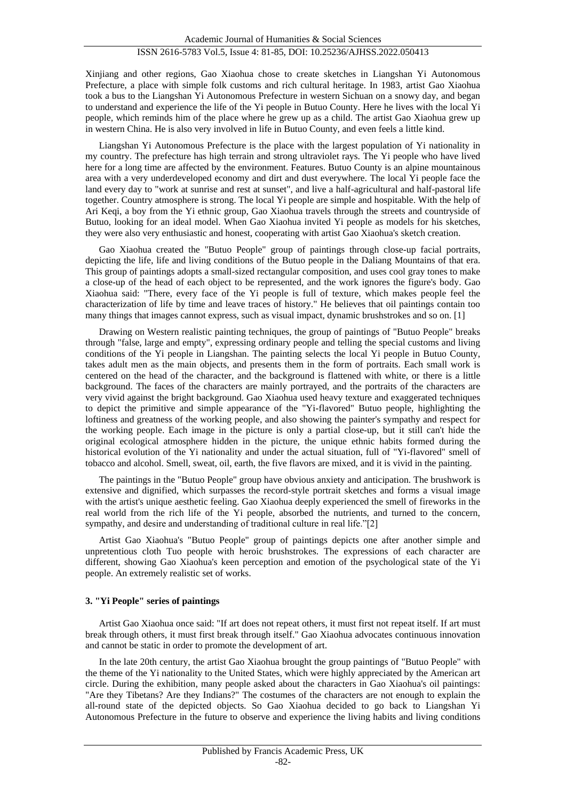Xinjiang and other regions, Gao Xiaohua chose to create sketches in Liangshan Yi Autonomous Prefecture, a place with simple folk customs and rich cultural heritage. In 1983, artist Gao Xiaohua took a bus to the Liangshan Yi Autonomous Prefecture in western Sichuan on a snowy day, and began to understand and experience the life of the Yi people in Butuo County. Here he lives with the local Yi people, which reminds him of the place where he grew up as a child. The artist Gao Xiaohua grew up in western China. He is also very involved in life in Butuo County, and even feels a little kind.

Liangshan Yi Autonomous Prefecture is the place with the largest population of Yi nationality in my country. The prefecture has high terrain and strong ultraviolet rays. The Yi people who have lived here for a long time are affected by the environment. Features. Butuo County is an alpine mountainous area with a very underdeveloped economy and dirt and dust everywhere. The local Yi people face the land every day to "work at sunrise and rest at sunset", and live a half-agricultural and half-pastoral life together. Country atmosphere is strong. The local Yi people are simple and hospitable. With the help of Ari Keqi, a boy from the Yi ethnic group, Gao Xiaohua travels through the streets and countryside of Butuo, looking for an ideal model. When Gao Xiaohua invited Yi people as models for his sketches, they were also very enthusiastic and honest, cooperating with artist Gao Xiaohua's sketch creation.

Gao Xiaohua created the "Butuo People" group of paintings through close-up facial portraits, depicting the life, life and living conditions of the Butuo people in the Daliang Mountains of that era. This group of paintings adopts a small-sized rectangular composition, and uses cool gray tones to make a close-up of the head of each object to be represented, and the work ignores the figure's body. Gao Xiaohua said: "There, every face of the Yi people is full of texture, which makes people feel the characterization of life by time and leave traces of history." He believes that oil paintings contain too many things that images cannot express, such as visual impact, dynamic brushstrokes and so on. [1]

Drawing on Western realistic painting techniques, the group of paintings of "Butuo People" breaks through "false, large and empty", expressing ordinary people and telling the special customs and living conditions of the Yi people in Liangshan. The painting selects the local Yi people in Butuo County, takes adult men as the main objects, and presents them in the form of portraits. Each small work is centered on the head of the character, and the background is flattened with white, or there is a little background. The faces of the characters are mainly portrayed, and the portraits of the characters are very vivid against the bright background. Gao Xiaohua used heavy texture and exaggerated techniques to depict the primitive and simple appearance of the "Yi-flavored" Butuo people, highlighting the loftiness and greatness of the working people, and also showing the painter's sympathy and respect for the working people. Each image in the picture is only a partial close-up, but it still can't hide the original ecological atmosphere hidden in the picture, the unique ethnic habits formed during the historical evolution of the Yi nationality and under the actual situation, full of "Yi-flavored" smell of tobacco and alcohol. Smell, sweat, oil, earth, the five flavors are mixed, and it is vivid in the painting.

The paintings in the "Butuo People" group have obvious anxiety and anticipation. The brushwork is extensive and dignified, which surpasses the record-style portrait sketches and forms a visual image with the artist's unique aesthetic feeling. Gao Xiaohua deeply experienced the smell of fireworks in the real world from the rich life of the Yi people, absorbed the nutrients, and turned to the concern, sympathy, and desire and understanding of traditional culture in real life."[2]

Artist Gao Xiaohua's "Butuo People" group of paintings depicts one after another simple and unpretentious cloth Tuo people with heroic brushstrokes. The expressions of each character are different, showing Gao Xiaohua's keen perception and emotion of the psychological state of the Yi people. An extremely realistic set of works.

#### **3. "Yi People" series of paintings**

Artist Gao Xiaohua once said: "If art does not repeat others, it must first not repeat itself. If art must break through others, it must first break through itself." Gao Xiaohua advocates continuous innovation and cannot be static in order to promote the development of art.

In the late 20th century, the artist Gao Xiaohua brought the group paintings of "Butuo People" with the theme of the Yi nationality to the United States, which were highly appreciated by the American art circle. During the exhibition, many people asked about the characters in Gao Xiaohua's oil paintings: "Are they Tibetans? Are they Indians?" The costumes of the characters are not enough to explain the all-round state of the depicted objects. So Gao Xiaohua decided to go back to Liangshan Yi Autonomous Prefecture in the future to observe and experience the living habits and living conditions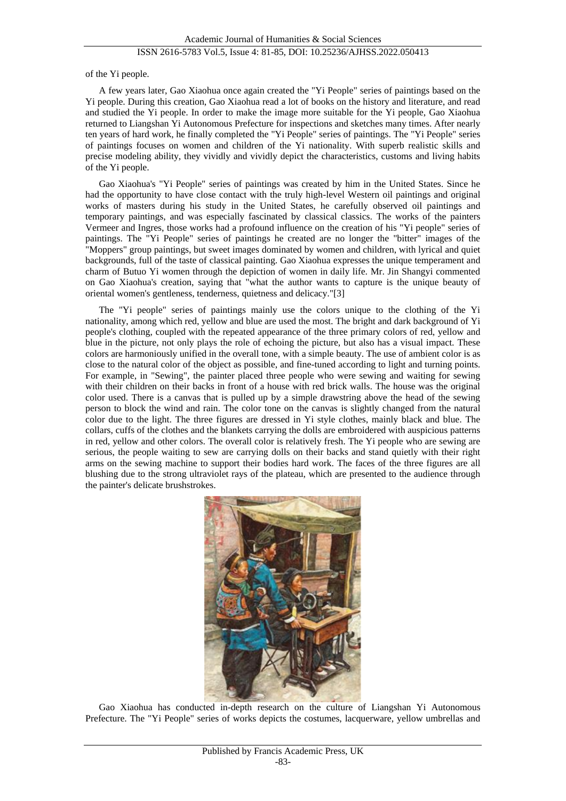## ISSN 2616-5783 Vol.5, Issue 4: 81-85, DOI: 10.25236/AJHSS.2022.050413

of the Yi people.

A few years later, Gao Xiaohua once again created the "Yi People" series of paintings based on the Yi people. During this creation, Gao Xiaohua read a lot of books on the history and literature, and read and studied the Yi people. In order to make the image more suitable for the Yi people, Gao Xiaohua returned to Liangshan Yi Autonomous Prefecture for inspections and sketches many times. After nearly ten years of hard work, he finally completed the "Yi People" series of paintings. The "Yi People" series of paintings focuses on women and children of the Yi nationality. With superb realistic skills and precise modeling ability, they vividly and vividly depict the characteristics, customs and living habits of the Yi people.

Gao Xiaohua's "Yi People" series of paintings was created by him in the United States. Since he had the opportunity to have close contact with the truly high-level Western oil paintings and original works of masters during his study in the United States, he carefully observed oil paintings and temporary paintings, and was especially fascinated by classical classics. The works of the painters Vermeer and Ingres, those works had a profound influence on the creation of his "Yi people" series of paintings. The "Yi People" series of paintings he created are no longer the "bitter" images of the "Moppers" group paintings, but sweet images dominated by women and children, with lyrical and quiet backgrounds, full of the taste of classical painting. Gao Xiaohua expresses the unique temperament and charm of Butuo Yi women through the depiction of women in daily life. Mr. Jin Shangyi commented on Gao Xiaohua's creation, saying that "what the author wants to capture is the unique beauty of oriental women's gentleness, tenderness, quietness and delicacy."[3]

The "Yi people" series of paintings mainly use the colors unique to the clothing of the Yi nationality, among which red, yellow and blue are used the most. The bright and dark background of Yi people's clothing, coupled with the repeated appearance of the three primary colors of red, yellow and blue in the picture, not only plays the role of echoing the picture, but also has a visual impact. These colors are harmoniously unified in the overall tone, with a simple beauty. The use of ambient color is as close to the natural color of the object as possible, and fine-tuned according to light and turning points. For example, in "Sewing", the painter placed three people who were sewing and waiting for sewing with their children on their backs in front of a house with red brick walls. The house was the original color used. There is a canvas that is pulled up by a simple drawstring above the head of the sewing person to block the wind and rain. The color tone on the canvas is slightly changed from the natural color due to the light. The three figures are dressed in Yi style clothes, mainly black and blue. The collars, cuffs of the clothes and the blankets carrying the dolls are embroidered with auspicious patterns in red, yellow and other colors. The overall color is relatively fresh. The Yi people who are sewing are serious, the people waiting to sew are carrying dolls on their backs and stand quietly with their right arms on the sewing machine to support their bodies hard work. The faces of the three figures are all blushing due to the strong ultraviolet rays of the plateau, which are presented to the audience through the painter's delicate brushstrokes.



Gao Xiaohua has conducted in-depth research on the culture of Liangshan Yi Autonomous Prefecture. The "Yi People" series of works depicts the costumes, lacquerware, yellow umbrellas and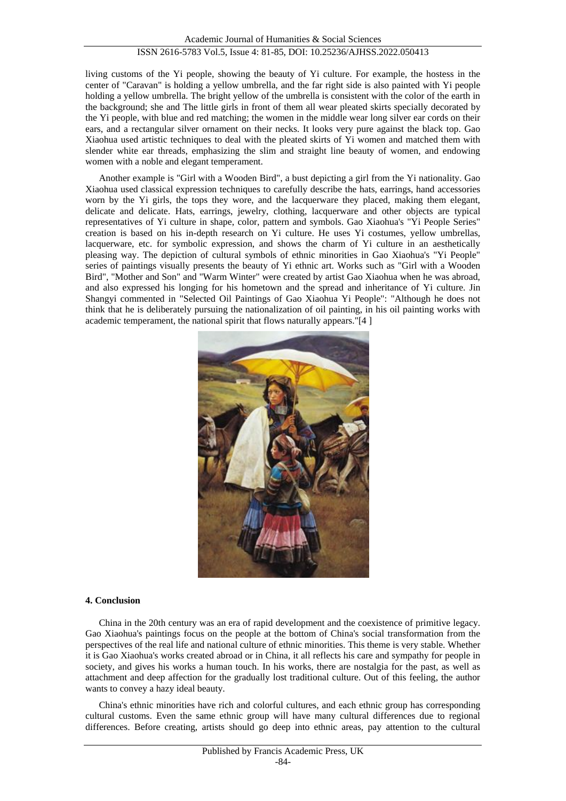living customs of the Yi people, showing the beauty of Yi culture. For example, the hostess in the center of "Caravan" is holding a yellow umbrella, and the far right side is also painted with Yi people holding a yellow umbrella. The bright yellow of the umbrella is consistent with the color of the earth in the background; she and The little girls in front of them all wear pleated skirts specially decorated by the Yi people, with blue and red matching; the women in the middle wear long silver ear cords on their ears, and a rectangular silver ornament on their necks. It looks very pure against the black top. Gao Xiaohua used artistic techniques to deal with the pleated skirts of Yi women and matched them with slender white ear threads, emphasizing the slim and straight line beauty of women, and endowing women with a noble and elegant temperament.

Another example is "Girl with a Wooden Bird", a bust depicting a girl from the Yi nationality. Gao Xiaohua used classical expression techniques to carefully describe the hats, earrings, hand accessories worn by the Yi girls, the tops they wore, and the lacquerware they placed, making them elegant, delicate and delicate. Hats, earrings, jewelry, clothing, lacquerware and other objects are typical representatives of Yi culture in shape, color, pattern and symbols. Gao Xiaohua's "Yi People Series" creation is based on his in-depth research on Yi culture. He uses Yi costumes, yellow umbrellas, lacquerware, etc. for symbolic expression, and shows the charm of Yi culture in an aesthetically pleasing way. The depiction of cultural symbols of ethnic minorities in Gao Xiaohua's "Yi People" series of paintings visually presents the beauty of Yi ethnic art. Works such as "Girl with a Wooden Bird", "Mother and Son" and "Warm Winter" were created by artist Gao Xiaohua when he was abroad, and also expressed his longing for his hometown and the spread and inheritance of Yi culture. Jin Shangyi commented in "Selected Oil Paintings of Gao Xiaohua Yi People": "Although he does not think that he is deliberately pursuing the nationalization of oil painting, in his oil painting works with academic temperament, the national spirit that flows naturally appears."[4 ]



### **4. Conclusion**

China in the 20th century was an era of rapid development and the coexistence of primitive legacy. Gao Xiaohua's paintings focus on the people at the bottom of China's social transformation from the perspectives of the real life and national culture of ethnic minorities. This theme is very stable. Whether it is Gao Xiaohua's works created abroad or in China, it all reflects his care and sympathy for people in society, and gives his works a human touch. In his works, there are nostalgia for the past, as well as attachment and deep affection for the gradually lost traditional culture. Out of this feeling, the author wants to convey a hazy ideal beauty.

China's ethnic minorities have rich and colorful cultures, and each ethnic group has corresponding cultural customs. Even the same ethnic group will have many cultural differences due to regional differences. Before creating, artists should go deep into ethnic areas, pay attention to the cultural